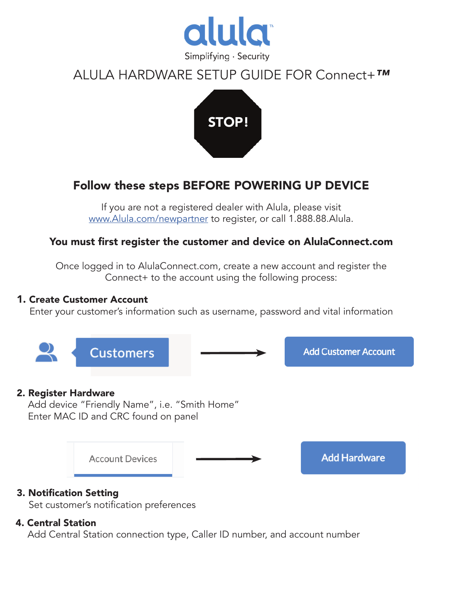

# ALULA HARDWARE SETUP GUIDE FOR Connect+*™*



# Follow these steps BEFORE POWERING UP DEVICE

If you are not a registered dealer with Alula, please visit www.Alula.com/newpartner to register, or call 1.888.88.Alula.

## You must first register the customer and device on AlulaConnect.com

Once logged in to AlulaConnect.com, create a new account and register the Connect+ to the account using the following process:

#### 1. Create Customer Account

Enter your customer's information such as username, password and vital information



Set customer's notification preferences

### 4. Central Station

Add Central Station connection type, Caller ID number, and account number